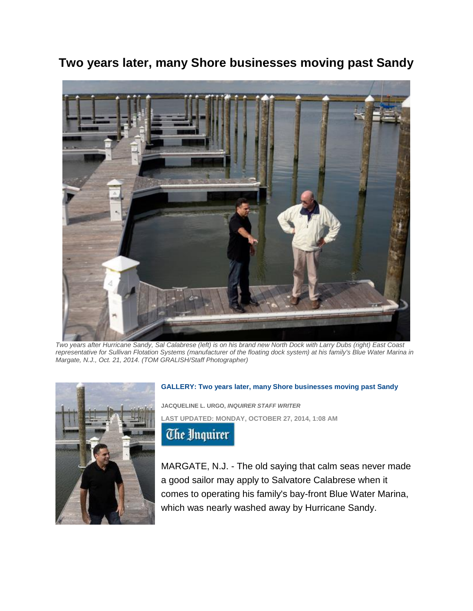**Two years later, many Shore businesses moving past Sandy**



*Two years after Hurricane Sandy, Sal Calabrese (left) is on his brand new North Dock with Larry Dubs (right) East Coast representative for Sullivan Flotation Systems (manufacturer of the floating dock system) at his family's Blue Water Marina in Margate, N.J., Oct. 21, 2014. (TOM GRALISH/Staff Photographer)*



## **GALLERY: [Two years later, many Shore businesses moving past Sandy](http://www.philly.com/philly/gallery/20141027_Two_years_later__many_Shore_businesses_moving_past_Sandy.html?viewGallery=y)**

**JACQUELINE L. URGO,** *INQUIRER STAFF WRITER* **[LAST UPDATED:](http://www.inquirer.com/) MONDAY, OCTOBER 27, 2014, 1:08 AM**

**The Unquirer** 

MARGATE, N.J. - The old saying that calm seas never made a good sailor may apply to Salvatore Calabrese when it comes to operating his family's bay-front Blue Water Marina, which was nearly washed away by Hurricane Sandy.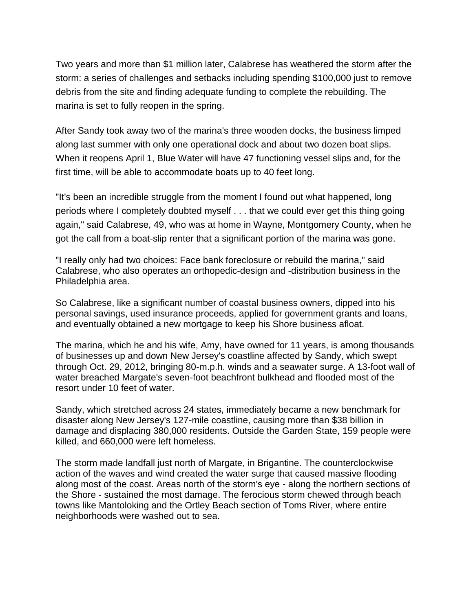Two years and more than \$1 million later, Calabrese has weathered the storm after the storm: a series of challenges and setbacks including spending \$100,000 just to remove debris from the site and finding adequate funding to complete the rebuilding. The marina is set to fully reopen in the spring.

After Sandy took away two of the marina's three wooden docks, the business limped along last summer with only one operational dock and about two dozen boat slips. When it reopens April 1, Blue Water will have 47 functioning vessel slips and, for the first time, will be able to accommodate boats up to 40 feet long.

"It's been an incredible struggle from the moment I found out what happened, long periods where I completely doubted myself . . . that we could ever get this thing going again," said Calabrese, 49, who was at home in Wayne, Montgomery County, when he got the call from a boat-slip renter that a significant portion of the marina was gone.

"I really only had two choices: Face bank foreclosure or rebuild the marina," said Calabrese, who also operates an orthopedic-design and -distribution business in the Philadelphia area.

So Calabrese, like a significant number of coastal business owners, dipped into his personal savings, used insurance proceeds, applied for government grants and loans, and eventually obtained a new mortgage to keep his Shore business afloat.

The marina, which he and his wife, Amy, have owned for 11 years, is among thousands of businesses up and down New Jersey's coastline affected by Sandy, which swept through Oct. 29, 2012, bringing 80-m.p.h. winds and a seawater surge. A 13-foot wall of water breached Margate's seven-foot beachfront bulkhead and flooded most of the resort under 10 feet of water.

Sandy, which stretched across 24 states, immediately became a new benchmark for disaster along New Jersey's 127-mile coastline, causing more than \$38 billion in damage and displacing 380,000 residents. Outside the Garden State, 159 people were killed, and 660,000 were left homeless.

The storm made landfall just north of Margate, in Brigantine. The counterclockwise action of the waves and wind created the water surge that caused massive flooding along most of the coast. Areas north of the storm's eye - along the northern sections of the Shore - sustained the most damage. The ferocious storm chewed through beach towns like Mantoloking and the Ortley Beach section of Toms River, where entire neighborhoods were washed out to sea.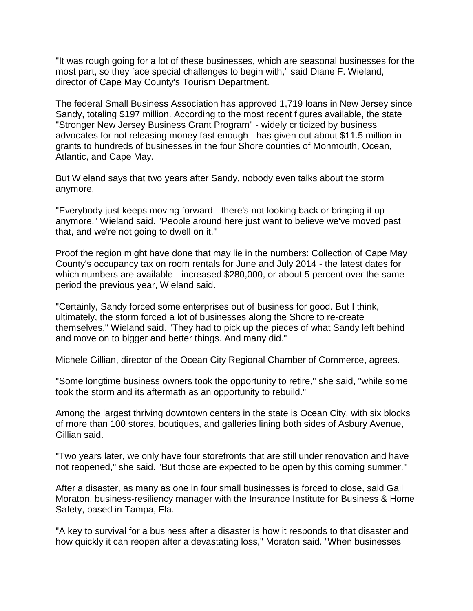"It was rough going for a lot of these businesses, which are seasonal businesses for the most part, so they face special challenges to begin with," said Diane F. Wieland, director of Cape May County's Tourism Department.

The federal Small Business Association has approved 1,719 loans in New Jersey since Sandy, totaling \$197 million. According to the most recent figures available, the state "Stronger New Jersey Business Grant Program" - widely criticized by business advocates for not releasing money fast enough - has given out about \$11.5 million in grants to hundreds of businesses in the four Shore counties of Monmouth, Ocean, Atlantic, and Cape May.

But Wieland says that two years after Sandy, nobody even talks about the storm anymore.

"Everybody just keeps moving forward - there's not looking back or bringing it up anymore," Wieland said. "People around here just want to believe we've moved past that, and we're not going to dwell on it."

Proof the region might have done that may lie in the numbers: Collection of Cape May County's occupancy tax on room rentals for June and July 2014 - the latest dates for which numbers are available - increased \$280,000, or about 5 percent over the same period the previous year, Wieland said.

"Certainly, Sandy forced some enterprises out of business for good. But I think, ultimately, the storm forced a lot of businesses along the Shore to re-create themselves," Wieland said. "They had to pick up the pieces of what Sandy left behind and move on to bigger and better things. And many did."

Michele Gillian, director of the Ocean City Regional Chamber of Commerce, agrees.

"Some longtime business owners took the opportunity to retire," she said, "while some took the storm and its aftermath as an opportunity to rebuild."

Among the largest thriving downtown centers in the state is Ocean City, with six blocks of more than 100 stores, boutiques, and galleries lining both sides of Asbury Avenue, Gillian said.

"Two years later, we only have four storefronts that are still under renovation and have not reopened," she said. "But those are expected to be open by this coming summer."

After a disaster, as many as one in four small businesses is forced to close, said Gail Moraton, business-resiliency manager with the Insurance Institute for Business & Home Safety, based in Tampa, Fla.

"A key to survival for a business after a disaster is how it responds to that disaster and how quickly it can reopen after a devastating loss," Moraton said. "When businesses